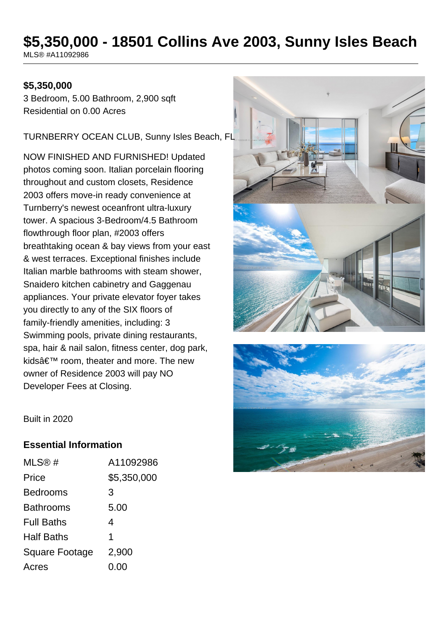# **\$5,350,000 - 18501 Collins Ave 2003, Sunny Isles Beach**

MLS® #A11092986

#### **\$5,350,000**

3 Bedroom, 5.00 Bathroom, 2,900 sqft Residential on 0.00 Acres

TURNBERRY OCEAN CLUB, Sunny Isles Beach, FL

NOW FINISHED AND FURNISHED! Updated photos coming soon. Italian porcelain flooring throughout and custom closets, Residence 2003 offers move-in ready convenience at Turnberry's newest oceanfront ultra-luxury tower. A spacious 3-Bedroom/4.5 Bathroom flowthrough floor plan, #2003 offers breathtaking ocean & bay views from your east & west terraces. Exceptional finishes include Italian marble bathrooms with steam shower, Snaidero kitchen cabinetry and Gaggenau appliances. Your private elevator foyer takes you directly to any of the SIX floors of family-friendly amenities, including: 3 Swimming pools, private dining restaurants, spa, hair & nail salon, fitness center, dog park, kids' room, theater and more. The new owner of Residence 2003 will pay NO Developer Fees at Closing.





Built in 2020

#### **Essential Information**

| MLS@#             | A11092986   |
|-------------------|-------------|
| Price             | \$5,350,000 |
| Bedrooms          | 3           |
| Bathrooms         | 5.00        |
| <b>Full Baths</b> | 4           |
| Half Baths        | 1           |
| Square Footage    | 2,900       |
| Acres             | 0.00        |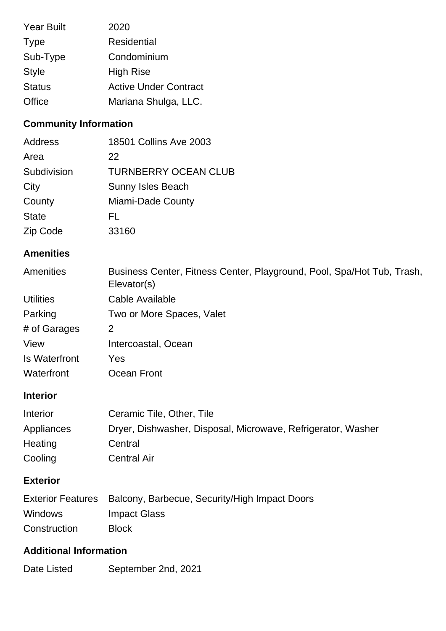| <b>Year Built</b> | 2020                         |
|-------------------|------------------------------|
| <b>Type</b>       | <b>Residential</b>           |
| Sub-Type          | Condominium                  |
| <b>Style</b>      | <b>High Rise</b>             |
| <b>Status</b>     | <b>Active Under Contract</b> |
| Office            | Mariana Shulga, LLC.         |

## **Community Information**

| Address      | 18501 Collins Ave 2003      |
|--------------|-----------------------------|
| Area         | 22                          |
| Subdivision  | <b>TURNBERRY OCEAN CLUB</b> |
| City         | <b>Sunny Isles Beach</b>    |
| County       | Miami-Dade County           |
| <b>State</b> | FL                          |
| Zip Code     | 33160                       |

## **Amenities**

| Amenities        | Business Center, Fitness Center, Playground, Pool, Spa/Hot Tub, Trash,<br>Elevator(s) |
|------------------|---------------------------------------------------------------------------------------|
| <b>Utilities</b> | Cable Available                                                                       |
| Parking          | Two or More Spaces, Valet                                                             |
| # of Garages     | 2                                                                                     |
| View             | Intercoastal, Ocean                                                                   |
| Is Waterfront    | Yes                                                                                   |
| Waterfront       | Ocean Front                                                                           |
|                  |                                                                                       |

### **Interior**

| <b>Interior</b> | Ceramic Tile, Other, Tile                                    |
|-----------------|--------------------------------------------------------------|
| Appliances      | Dryer, Dishwasher, Disposal, Microwave, Refrigerator, Washer |
| Heating         | Central                                                      |
| Cooling         | <b>Central Air</b>                                           |

### **Exterior**

|                | Exterior Features Balcony, Barbecue, Security/High Impact Doors |
|----------------|-----------------------------------------------------------------|
| <b>Windows</b> | Impact Glass                                                    |
| Construction   | <b>Block</b>                                                    |

## **Additional Information**

Date Listed September 2nd, 2021